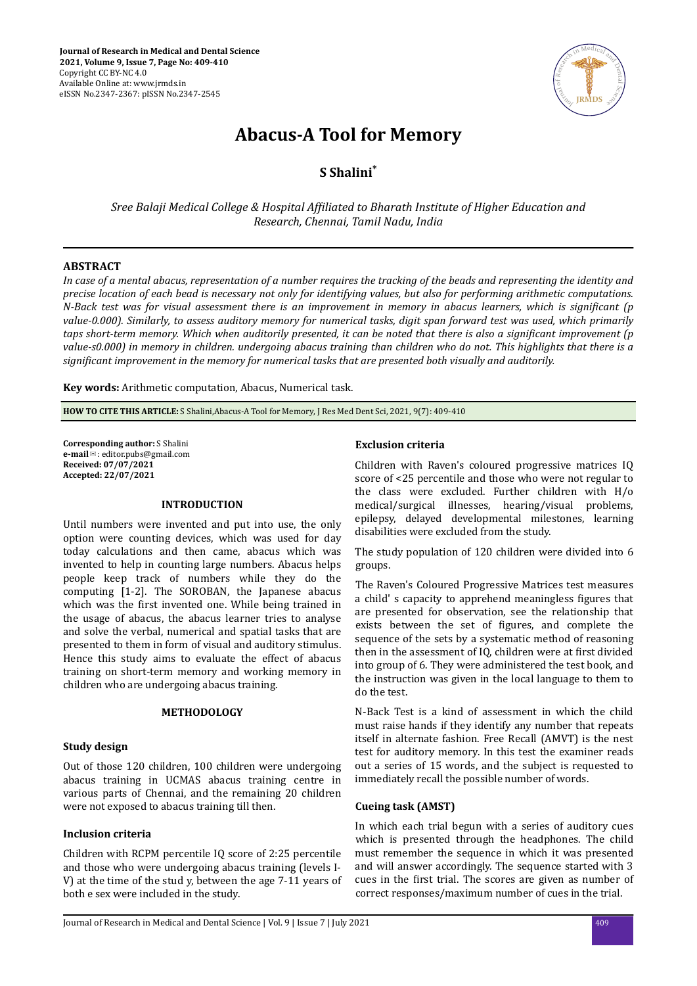

# **Abacus-A Tool for Memory**

**S Shalini\***

*Sree Balaji Medical College & Hospital fϔted to Bharath Institute of Higher Education and Research, Chennai, Tamil Nadu, India*

## **ABSTRACT**

*In case of a mental abacus, representation of a number requires the tracking of the beads and representing the identity and precise location of each bead is necessary not only for identifying values, but also for performing arithmetic computations. N-Back test was for visual assessment there is an improvement in memory in abacus learners, which is significant (p value-0.000). Similarly, to assess auditory memory for numerical tasks, digit span forward test was used, which primarily taps short-term memory. Which when auditorily presented, it can be noted that there is also a significant improvement (p value-s0.000) in memory in children. undergoing abacus training than children who do not. This highlights that there is a* significant improvement in the memory for numerical tasks that are presented both visually and auditorily.

**Key words:** Arithmetic computation, Abacus, Numerical task.

**HOW TO CITE THIS ARTICLE:** S Shalini,Abacus-A Tool for Memory, J Res Med Dent Sci, 2021, 9(7): 409-410

**Corresponding author:** S Shalini **e-mail**✉: editor.pubs@gmail.com **Received: 07/07/2021 Accepted: 22/07/2021** 

### **INTRODUCTION**

Until numbers were invented and put into use, the only option were counting devices, which was used for day today calculations and then came, abacus which was invented to help in counting large numbers. Abacus helps people keep track of numbers while they do the computing [1-2]. The SOROBAN, the Japanese abacus which was the first invented one. While being trained in the usage of abacus, the abacus learner tries to analyse and solve the verbal, numerical and spatial tasks that are presented to them in form of visual and auditory stimulus. Hence this study aims to evaluate the effect of abacus training on short-term memory and working memory in children who are undergoing abacus training.

## **METHODOLOGY**

## **Study design**

Out of those 120 children, 100 children were undergoing abacus training in UCMAS abacus training centre in various parts of Chennai, and the remaining 20 children were not exposed to abacus training till then.

## **Inclusion criteria**

Children with RCPM percentile IQ score of 2:25 percentile and those who were undergoing abacus training (levels I-V) at the time of the stud y, between the age 7-11 years of both e sex were included in the study.

#### **Exclusion criteria**

Children with Raven's coloured progressive matrices IQ score of <25 percentile and those who were not regular to the class were excluded. Further children with H/o medical/surgical illnesses, hearing/visual problems, epilepsy, delayed developmental milestones, learning disabilities were excluded from the study.

The study population of 120 children were divided into 6 groups.

The Raven's Coloured Progressive Matrices test measures a child' s capacity to apprehend meaningless figures that are presented for observation, see the relationship that exists between the set of figures, and complete the sequence of the sets by a systematic method of reasoning then in the assessment of IQ, children were at first divided into group of 6. They were administered the test book, and the instruction was given in the local language to them to do the test.

N-Back Test is a kind of assessment in which the child must raise hands if they identify any number that repeats itself in alternate fashion. Free Recall (AMVT) is the nest test for auditory memory. In this test the examiner reads out a series of 15 words, and the subject is requested to immediately recall the possible number of words.

## **Cueing task (AMST)**

In which each trial begun with a series of auditory cues which is presented through the headphones. The child must remember the sequence in which it was presented and will answer accordingly. The sequence started with 3 cues in the first trial. The scores are given as number of correct responses/maximum number of cues in the trial.